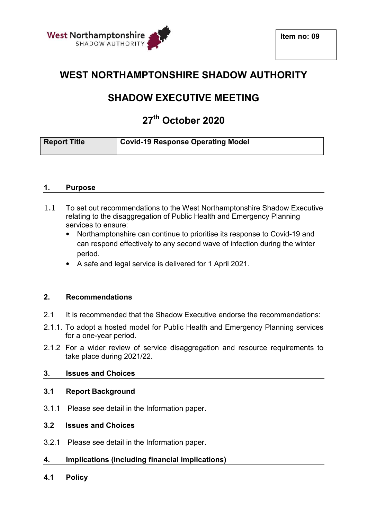



## **WEST NORTHAMPTONSHIRE SHADOW AUTHORITY**

# **SHADOW EXECUTIVE MEETING**

## **27th October 2020**

| <b>Report Title</b> | <b>Covid-19 Response Operating Model</b> |
|---------------------|------------------------------------------|
|---------------------|------------------------------------------|

#### **1. Purpose**

- 1.1 To set out recommendations to the West Northamptonshire Shadow Executive relating to the disaggregation of Public Health and Emergency Planning services to ensure:
	- Northamptonshire can continue to prioritise its response to Covid-19 and can respond effectively to any second wave of infection during the winter period.
	- A safe and legal service is delivered for 1 April 2021.

#### **2. Recommendations**

- 2.1 It is recommended that the Shadow Executive endorse the recommendations:
- 2.1.1. To adopt a hosted model for Public Health and Emergency Planning services for a one-year period.
- 2.1.2 For a wider review of service disaggregation and resource requirements to take place during 2021/22.

#### **3. Issues and Choices**

#### **3.1 Report Background**

3.1.1 Please see detail in the Information paper.

#### **3.2 Issues and Choices**

- 3.2.1 Please see detail in the Information paper.
- **4. Implications (including financial implications)**
- **4.1 Policy**